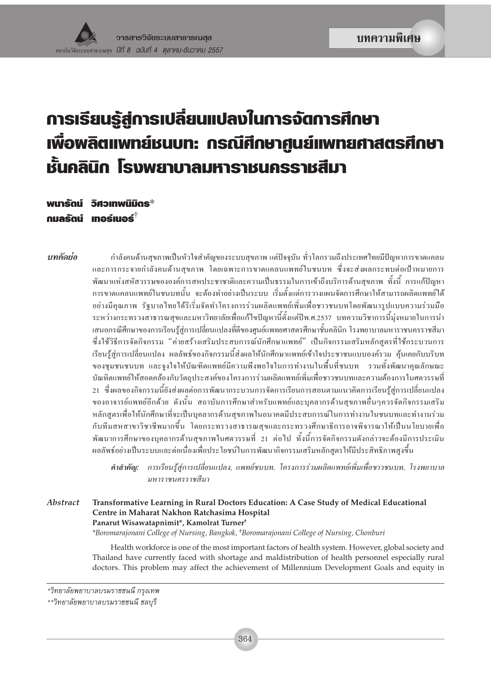# การเรียนรู้สู่การเปลี่ยนแปลงในการจัดการศึกษา **เพื่อพลิตแพทย์ชนบท: กรณีศึกษาศูนย์แพทยศาสตรศึกษา** หั้นคลินิก โรงพยาบาลมหาราชนครราชสีมา

พนาธัตน์ วิศวเทพนิมิตร $^*$ กมลรัตน์ เทอร์เนอร์ $^{\dagger}$ 

าเทคัดย่อ

กำลังคนด้านสขภาพเป็นหัวใจสำคัญของระบบสขภาพ แต่ปัจจบัน ทั่วโลกรวมถึงประเทศไทยมีปัญหาการขาดแคลน และการกระจายกำลังคนด้านสขภาพ โดยเฉพาะการขาดแคลนแพทย์ในชนบท ซึ่งจะส่งผลกระทบต่อเป้าหมายการ พัฒนาแห่งสหัสวรรษขององค์การสหประชาชาติและความเป็นธรรมในการเข้าถึงบริการด้านสขภาพ ทั้งนี้ การแก้ปัญหา ี การขาดแคลนแพทย์ในชนบทนั้น จะต้องทำอย่างเป็นระบบ เริ่มตั้งแต่การวางแผนจัดการศึกษาให้สามารถผลิตแพทย์ได้ ้อย่างมีคุณภาพ รัฐบาลไทยได้ริเริ่มจัดทำโครงการร่วมผลิตแพทย์เพิ่มเพื่อชาวชนบทโดยพัฒนารูปแบบความร่วมมือ ระหว่างกระทรวงสาธารณสุขและมหาวิทยาลัยเพื่อแก้ไขปัญหานี้ตั้งแต่ปีพ.ศ.2537 บทความวิชาการนี้มุ่งหมายในการนำ เสนอกรณีศึกษาของการเรียนร้ส่การเปลี่ยนแปลงที่ดีของศนย์แพทยศาสตรศึกษาชั้นคลินิก โรงพยาบาลมหาราชนครราชสีมา ซึ่งใช้วิธีการจัดกิจกรรม "ค่ายสร้างเสริมประสบการณ์นักศึกษาแพทย์" เป็นกิจกรรมเสริมหลักสูตรที่ใช้กระบวนการ เรียนรู้สู่การเปลี่ยนแปลง ผลลัพธ์ของกิจกรรมนี้ส่งผลให้นักศึกษาแพทย์เข้าใจประชาชนแบบองค์รวม คุ้นเคยกับบริบท ของชุมชนชนบท และจูงใจให้บัณฑิตแพทย์มีความพึงพอใจในการทำงานในพื้นที่ชนบท รวมทั้งพัฒนาคุณลักษณะ บัณทิตแพทย์ให้สอดคล้องกับวัตถุประสงค์ของโครงการร่วมผลิตแพทย์เพิ่มเพื่อชาวชนบทและความต้องการในศตวรรษที่ ่ 21 ซึ่งผลของกิจกรรมนี้ยังส่งผลต่อการพัฒนากระบวนการจัดการเรียนการสอนตามแนวคิดการเรียนรู้สู่การเปลี่ยนแปลง ของอาจารย์แพทย์อีกด้วย คังนั้น สถาบันการศึกษาสำหรับแพทย์และบคลากรด้านสขภาพอื่นๆควรจัดกิจกรรมเสริม หลักสตรเพื่อให้นักศึกษาที่จะเป็นบคลากรด้านสขภาพในอนาคตมีประสบการณ์ในการทำงานในชนบทและทำงานร่วม กับทีมสหสาขาวิชาชีพมากขึ้น โดยกระทรวงสาธารณสุขและกระทรวงศึกษาธิการอาจพิจารณาให้เป็นนโยบายเพื่อ พัฒนาการศึกษาของบคลากรด้านสขภาพในศตวรรษที่ 21 ต่อไป ทั้งนี้การจัดกิจกรรมดังกล่าวจะต้องมีการประเมิน ผลลัพธ์อย่างเป็นระบบและต่อเนื่องเพื่อประโยชน์ในการพัฒนากิจกรรมเสริมหลักสูตรให้มีประสิทธิภาพสูงขึ้น

คำสำคัญ: การเรียนรู้สู่การเปลี่ยนแปลง, แพทย์ชนบท, โครงการร่วมผลิตแพทย์เพิ่มเพื่อชาวชนบท, โรงพยาบาล มหาราชนครราชสีมา

**Abstract** Transformative Learning in Rural Doctors Education: A Case Study of Medical Educational Centre in Maharat Nakhon Ratchasima Hospital Panarut Wisawatapnimit\*, Kamolrat Turner<sup>+</sup> \*Boromarajonani College of Nursing, Bangkok, †Boromarajonani College of Nursing, Chonburi

> Health workforce is one of the most important factors of health system. However, global society and Thailand have currently faced with shortage and maldistribution of health personnel especially rural doctors. This problem may affect the achievement of Millennium Development Goals and equity in

<sup>\*</sup>วิทยาลัยพยาบาลบรมราชชนนี กรุงเทพ

<sup>\*\*</sup>วิทยาลัยพยาบาลบรมราชชนนี ชลบุรี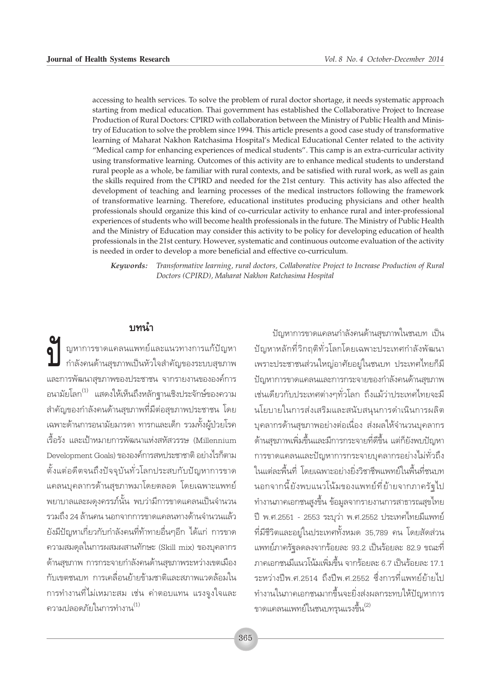accessing to health services. To solve the problem of rural doctor shortage, it needs systematic approach starting from medical education. Thai government has established the Collaborative Project to Increase Production of Rural Doctors: CPIRD with collaboration between the Ministry of Public Health and Ministry of Education to solve the problem since 1994. This article presents a good case study of transformative learning of Maharat Nakhon Ratchasima Hospital's Medical Educational Center related to the activity "Medical camp for enhancing experiences of medical students". This camp is an extra-curricular activity using transformative learning. Outcomes of this activity are to enhance medical students to understand rural people as a whole, be familiar with rural contexts, and be satisfied with rural work, as well as gain the skills required from the CPIRD and needed for the 21st century. This activity has also affected the development of teaching and learning processes of the medical instructors following the framework of transformative learning. Therefore, educational institutes producing physicians and other health professionals should organize this kind of co-curricular activity to enhance rural and inter-professional experiences of students who will become health professionals in the future. The Ministry of Public Health and the Ministry of Education may consider this activity to be policy for developing education of health professionals in the 21st century. However, systematic and continuous outcome evaluation of the activity is needed in order to develop a more beneficial and effective co-curriculum.

Keywords: Transformative learning, rural doctors, Collaborative Project to Increase Production of Rural Doctors (CPIRD), Maharat Nakhon Ratchasima Hospital

## ึงเทนำ

ญหาการขาดแคลนแพทย์และแนวทางการแก้ปัญหา กำลังคนด้านสุขภาพเป็นหัวใจสำคัญของระบบสุขภาพ และการพัฒนาสุขภาพของประชาชน จากรายงานขององค์การ ้อนามัยโลก<sup>(1)</sup> แสดงให้เห็นถึงหลักฐานเชิงประจักษ์ของความ ้สำคัญของกำลังคนด้านสุขภาพที่มีต่อสุขภาพประชาชน โดย เฉพาะด้านการอนามัยมารดา ทารกและเด็ก รวมทั้งผู้ป่วยโรค เรื้อรัง และเป้าหมายการพัฒนาแห่งสหัสวรรษ (Millennium Development Goals) ขององค์การสหประชาชาติ อย่างไรก็ตาม ตั้งแต่อดีตจนถึงปัจจุบันทั่วโลกประสบกับปัญหาการขาด แคลนบุคลากรด้านสุขภาพมาโดยตลอด โดยเฉพาะแพทย์ ็พยาบาลและผดงครรภ์นั้น พบว่ามีการขาดแคลนเป็นจำนวน รวมถึง 24 ล้านคน นอกจากการขาดแคลนทางด้านจำนวนแล้ว ยังมีปัญหาเกี่ยวกับกำลังคนที่ท้าทายอื่นๆอีก ได้แก่ การขาด ความสมดุลในการผสมผสานทักษะ (Skill mix) ของบุคลากร ด้านสุขภาพ การกระจายกำลังคนด้านสุขภาพระหว่างเขตเมือง ้กับเขตชนบท การเคลื่อนย้ายข้ามชาติและสภาพแวดล้อมใน ิการทำงานที่ไม่เหมาะสม เช่น ค่าตอบแทน แรงจูงใจและ ความปลอดภัยในการทำงาน $^{(1)}$ 

ปัญหาการขาดแคลนกำลังคนด้านสุขภาพในชนบท เป็น ปัญหาหลักที่วิกฤติทั่วโลกโดยเฉพาะประเทศกำลังพัฒนา เพราะประชาชนส่วนใหญ่อาศัยอยู่ในชนบท ประเทศไทยก็มี ปัญหาการขาดแคลนและการกระจายของกำลังคนด้านสุขภาพ เช่นเดียวกับประเทศต่างๆทั่วโลก ถึงแม้ว่าประเทศไทยจะมี นโยบายในการส่งเสริมและสนับสนุนการดำเนินการผลิต ้บุคลากรด้านสุขภาพอย่างต่อเนื่อง ส่งผลให้จำนวนบุคลากร ้ด้านสุขภาพเพิ่มขึ้นและมีการกระจายที่ดีขึ้น แต่ก็ยังพบปัญหา การขาดแคลนและปัญหาการกระจายบุคลากรอย่างไม่ทั่วถึง ในแต่ละพื้นที่ โดยเฉพาะอย่างยิ่งวิชาชีพแพทย์ในพื้นที่ชนบท นอกจากนี้ยังพบแนวโน้มของแพทย์ที่ย้ายจากภาครัฐไป ้ทำงานภาคเอกชนสูงขึ้น ข้อมูลจากรายงานการสาธารณสุขไทย ปี พ.ศ.2551 - 2553 ระบุว่า พ.ศ.2552 ประเทศไทยมีแพทย์ ที่มีชีวิตและอยู่ในประเทศทั้งหมด 35,789 คน โดยสัดส่วน แพทย์ภาครัฐลดลงจากร้อยละ 93.2 เป็นร้อยละ 82.9 ขณะที่ ภาคเอกชนมีแนวโน้มเพิ่มขึ้น จากร้อยละ 6.7 เป็นร้อยละ 17.1 ระหว่างปีพ.ศ.2514 ถึงปีพ.ศ.2552 ซึ่งการที่แพทย์ย้ายไป ทำงานในภาคเอกชนมากขึ้นจะยิ่งส่งผลกระทบให้ปัญหาการ ขาดแคลนแพทย์ในชนบทรุนแรงขึ้น (2)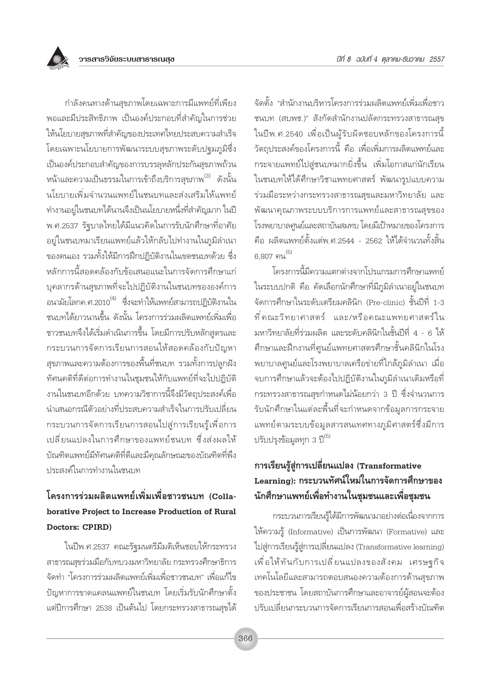กำลังคนทางด้านสุขภาพโดยเฉพาะการมีแพทย์ที่เพียง ้พอและมีประสิทธิภาพ เป็นองค์ประกอบที่สำคัญในการช่วย ให้นโยบายสุขภาพที่สำคัญของประเทศไทยประสบความสำเร็จ โดยเฉพาะนโยบายการพัฒนาระบบสุขภาพระดับปฐมภูมิซึ่ง เป็นองค์ประกอบสำคัญของการบรรลุหลักประกันสุขภาพถ้วน หน้าและความเป็นธรรมในการเข้าถึงบริการสุขภาพ<sup>(3)</sup> ดังนั้น นโยบายเพิ่มจำนวนแพทย์ในชนบทและส่งเสริมให้แพทย์ ทำงานอยู่ในชนบทได้นานจึงเป็นนโยบายหนึ่งที่สำคัญมาก ในปี พ.ศ.2537 รัฐบาลไทยได้มีแนวคิดในการรับนักศึกษาที่อาศัย อยู่ในชนบทมาเรียนแพทย์แล้วให้กลับไปทำงานในภูมิลำเนา ของตนเอง รวมทั้งให้มีการฝึกปฏิบัติงานในเขตชนบทด้วย ซึ่ง หลักการนี้สอดคล้องกับข้อเสนอแนะในการจัดการศึกษาแก่ บุคลากรด้านสุขภาพที่จะไปปฏิบัติงานในชนบทขององค์การ ้อนามัยโลกค.ศ.2010<sup>(4)</sup> ซึ่งจะทำให้แพทย์สามารถปฏิบัติงานใน ชนบทได้ยาวนานขึ้น ดังนั้น โครงการร่วมผลิตแพทย์เพิ่มเพื่อ ชาวชนบทจึงได้เริ่มดำเนินการขึ้น โดยมีการปรับหลักสูตรและ กระบวนการจัดการเรียนการสอนให้สอดคล้องกับปัญหา ้สุขภาพและความต้องการของพื้นที่ชนบท รวมทั้งการปลูกฝัง ทัศนคติที่ดีต่อการทำงานในชุมชนให้กับแพทย์ที่จะไปปฏิบัติ งานในชนบทอีกด้วย บทความวิชาการนี้จึงมีวัตถุประสงค์เพื่อ ้นำเสนอกรณีตัวอย่างที่ประสบความสำเร็จในการปรับเปลี่ยน ้กระบวนการจัดการเรียนการสอนไปสู่การเรียนรู้เพื่อการ ้เปลี่ยนแปลงในการศึกษาของแพทย์ชนบท ซึ่งส่งผลให้ บัณฑิตแพทย์มีทัศนคติที่ดีและมีคุณลักษณะของบัณฑิตที่พึง ประสงค์ในการทำงานในชนบท

# โครงการร่วมผลิตแพทย์เพิ่มเพื่อชาวชนบท (Collaborative Project to Increase Production of Rural Doctors: CPIRD)

ในปีพ.ศ.2537 คณะรัฐมนตรีมีมติเห็นชอบให้กระทรวง สาธารณสุขร่วมมือกับทบวงมหาวิทยาลัย กระทรวงศึกษาธิการ จัดทำ "โครงการร่วมผลิตแพทย์เพิ่มเพื่อชาวชนบท" เพื่อแก้ไข ปัญหาการขาดแคลนแพทย์ในชนบท โดยเริ่มรับนักศึกษาตั้ง แต่ปีการศึกษา 2538 เป็นต้นไป โดยกระทรวงสาธารณสุขได้

จัดตั้ง "สำนักงานบริหารโครงการร่วมผลิตแพทย์เพิ่มเพื่อชาว ชนบท (สบพช.)" สังกัดสำนักงานปลัดกระทรวงสาธารณสุข ในปีพ.ศ.2540 เพื่อเป็นผู้รับผิดชอบหลักของโครงการนี้ วัตถุประสงค์ของโครงการนี้ คือ เพื่อเพิ่มการผลิตแพทย์และ กระจายแพทย์ไปสู่ชนบทมากยิ่งขึ้น เพิ่มโอกาสแก่นักเรียน ในชนบทให้ได้ศึกษาวิชาแพทยศาสตร์ พัฒนารูปแบบความ ร่วมมือระหว่างกระทรวงสาธารณสุขและมหาวิทยาลัย และ พัฒนาคุณภาพระบบบริการการแพทย์และสาธารณสุขของ โรงพยาบาลศูนย์และสถาบันสมทบ โดยมีเป้าหมายของโครงการ ้คือ ผลิตแพทย์ตั้งแต่พ.ศ.2544 - 2562 ให้ได้จำนวนทั้งสิ้น  $6.807$  คน $^{(5)}$ 

โครงการนี้มีความแตกต่างจากโปรแกรมการศึกษาแพทย์ ในระบบปกติ คือ คัดเลือกนักศึกษาที่มีภูมิลำเนาอยู่ในชนบท จัดการศึกษาในระดับเตรียมคลินิก (Pre-clinic) ชั้นปีที่ 1-3 ที่คณะวิทยาศาสตร์ และ/หรือคณะแพทยศาสตร์ใน มหาวิทยาลัยที่ร่วมผลิต และระดับคลินิกในชั้นปีที่ 4 - 6 ให้ ้ศึกษาและฝึกงานที่ศูนย์แพทยศาสตรศึกษาชั้นคลินิกในโรง ้พยาบาลศูนย์และโรงพยาบาลเครือข่ายที่ใกล้ภูมิลำเนา เมื่อ จบการศึกษาแล้วจะต้องไปปฏิบัติงานในภูมิลำเนาเดิมหรือที่ ้กระทรวงสาธารณสุขกำหนดไม่น้อยกว่า 3 ปี ซึ่งจำนวนการ รับนักศึกษาในแต่ละพื้นที่จะกำหนดจากข้อมูลการกระจาย แพทย์ตามระบบข้อมูลสารสนเทศทางภูมิศาสตร์ซึ่งมีการ ปรับปรุงข้อมูลทุก 3 ปี<sup>(5)</sup>

# การเรียนรู้สู่การเปลี่ยนแปลง (Transformative Learning): กระบวนทัศน์ใหม่ในการจัดการศึกษาของ นักศึกษาแพทย์เพื่อทำงานในชุมชนและเพื่อชุมชน

กระบวนการเรียนรู้ได้มีการพัฒนามาอย่างต่อเนื่องจากการ ให้ความรู้ (Informative) เป็นการพัฒนา (Formative) และ ไปสู่การเรียนรู้สู่การเปลี่ยนแปลง (Transformative learning) เพื่อให้ทันกับการเปลี่ยนแปลงของสังคม เศรษฐกิจ เทคโนโลยีและสามารถตอบสนองความต้องการด้านสุขภาพ ของประชาชน โดยสถาบันการศึกษาและอาจารย์ผู้สอนจะต้อง ปรับเปลี่ยนกระบวนการจัดการเรียนการสอนเพื่อสร้างบัณฑิต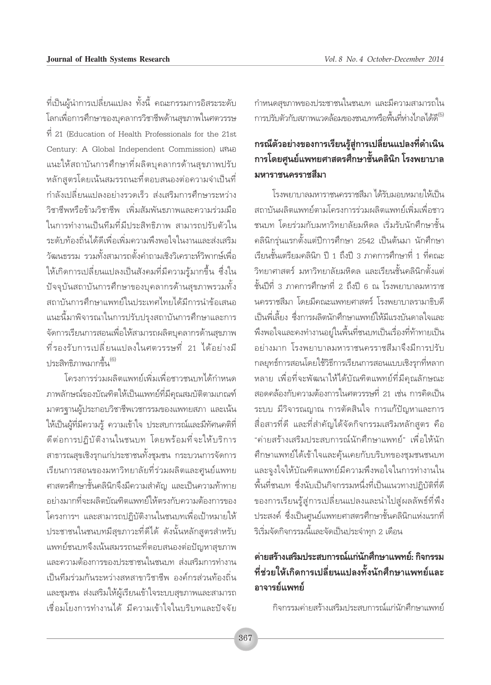ู้ที่เป็นผู้นำการเปลี่ยนแปลง ทั้งนี้ คณะกรรมการอิสระระดับ โลกเพื่อการศึกษาของบุคลากรวิชาชีพด้านสุขภาพในศตวรรษ  $\dot{\vec{n}}$  21 (Education of Health Professionals for the 21st Century: A Global Independent Commission) เสนอ แนะให้สถาบันการศึกษาที่ผลิตบุคลากรด้านสุขภาพปรับ หลักสูตรโดยเน้นสมรรถนะที่ตอบสนองต่อความจำเป็นที่ ้กำลังเปลี่ยนแปลงอย่างรวดเร็ว ส่งเสริมการศึกษาระหว่าง วิชาชีพหรือข้ามวิชาชีพ เพิ่มสัมพันธภาพและความร่วมมือ ในการทำงานเป็นทีมที่มีประสิทธิภาพ สามารถปรับตัวใน ระดับท้องถิ่นได้ดีเพื่อเพิ่มความพึงพอใจในงานและส่งเสริม วัฒนธรรม รวมทั้งสามารถตั้งคำถามเชิงวิเคราะห์วิพากษ์เพื่อ ให้เกิดการเปลี่ยนแปลงเป็นสังคมที่มีความรู้มากขึ้น ซึ่งใน ้ปัจจุบันสถาบันการศึกษาของบุคลากรด้านสุขภาพรวมทั้ง สถาบันการศึกษาแพทย์ในประเทศไทยได้มีการนำข้อเสนอ แนะนี้มาพิจารณาในการปรับปรุงสถาบันการศึกษาและการ จัดการเรียนการสอนเพื่อให้สามารถผลิตบุคลากรด้านสุขภาพ ้ที่รองรับการเปลี่ยนแปลงในศตวรรษที่ 21 ได้อย่างมื ้<br>1 เระสิทธิภาพมากขึ้น <sup>(6)</sup>

โครงการร่วมผลิตแพทย์เพิ่มเพื่อชาวชนบทได้กำหนด ภาพลักษณ์ของบัณฑิตให้เป็นแพทย์ที่มีคุณสมบัติตามเกณฑ์ มาตรฐานผู้ประกอบวิชาชีพเวชกรรมของแพทยสภา และเน้น ให้เป็นผู้ที่มีความรู้ ความเข้าใจ ประสบการณ์และมีทัศนคติที่ ดีต่อการปฏิบัติงานในชนบท โดยพร้อมที่จะให้บริการ สาธารณสุขเชิงรุกแก่ประชาชนทั้งชุมชน กระบวนการจัดการ เรียนการสอนของมหาวิทยาลัยที่ร่วมผลิตและศูนย์แพทย ิศาสตรศึกษาชั้นคลินิกจึงมีความสำคัญ และเป็นความท้าทาย อย่างมากที่จะผลิตบัณฑิตแพทย์ให้ตรงกับความต้องการของ โครงการฯ และสามารถปฏิบัติงานในชนบทเพื่อเป้าหมายให้ ประชาชนในชนบทมีสุขภาวะที่ดีได้ ดังนั้นหลักสูตรสำหรับ แพทย์ชนบทจึงเน้นสมรรถนะที่ตอบสนองต่อปัญหาสุขภาพ และความต้องการของประชาชนในชนบท ส่งเสริมการทำงาน เป็นทีมร่วมกันระหว่างสหสาขาวิชาชีพ องค์กรส่วนท้องถิ่น และชุมชน ส่งเสริมให้ผู้เรียนเข้าใจระบบสุขภาพและสามารถ เชื่อมโยงการทำงานได้ มีความเข้าใจในบริบทและปัจจัย กำหนดสุขภาพของประชาชนในชนบท และมีความสามารถใน การปรับตัวกับสภาพแวดล้อมของชนบทหรือพื้นที่ห่างไกลได้ดี

# กรณีตัวอย่างของการเรียนรู้สู่การเปลี่ยนแปลงที่ดำเนิน ิการโดยศูนย์แพทยศาสตรศึกษาชั้นคลินิก โรงพยาบาล มหาราชนครราชสีมา

โรงพยาบาลมหาราชนครราชสีมา ได้รับมอบหมายให้เป็น สถาบันผลิตแพทย์ตามโครงการร่วมผลิตแพทย์เพิ่มเพื่อชาว ชนบท โดยร่วมกับมหาวิทยาลัยมหิดล เริ่มรับนักศึกษาชั้น ้คลินิกรุ่นแรกตั้งแต่ปีการศึกษา 2542 เป็นต้นมา นักศึกษา เรียนชั้นเตรียมคลินิก ปี 1 ถึงปี 3 ภาคการศึกษาที่ 1 ที่คณะ วิทยาศาสตร์ มหาวิทยาลัยมหิดล และเรียนชั้นคลินิกตั้งแต่ ชั้นปีที่ 3 ภาคการศึกษาที่ 2 ถึงปี 6 ณ โรงพยาบาลมหาราช นครราชสีมา โดยมีคณะแพทยศาสตร์ โรงพยาบาลรามาธิบดี เป็นพี่เลี้ยง ซึ่งการผลิตนักศึกษาแพทย์ให้มีแรงบันดาลใจและ พึงพอใจและคงทำงานอยู่ในพื้นที่ชนบทเป็นเรื่องที่ท้าทายเป็น อย่างมาก โรงพยาบาลมหาราชนครราชสีมาจึงมีการปรับ กลยุทธ์การสอนโดยใช้วิธีการเรียนการสอนแบบเชิงรุกที่หลาก หลาย เพื่อที่จะพัฒนาให้ได้บัณฑิตแพทย์ที่มีคุณลักษณะ สอดคล้องกับความต้องการในศตวรรษที่ 21 เช่น การคิดเป็น ระบบ มีวิจารณญาณ การตัดสินใจ การแก้ปัญหาและการ สื่อสารที่ดี และที่สำคัญได้จัดกิจกรรมเสริมหลักสูตร คือ "ค่ายสร้างเสริมประสบการณ์นักศึกษาแพทย์" เพื่อให้นัก ้ศึกษาแพทย์ได้เข้าใจและคุ้นเคยกับบริบทของชุมชนชนบท และจูงใจให้บัณฑิตแพทย์มีความพึงพอใจในการทำงานใน ์ พื้นที่ชนบท ซึ่งนับเป็นกิจกรรมหนึ่งที่เป็นแนวทางปฏิบัติที่ดี ของการเรียนรู้สู่การเปลี่ยนแปลงและนำไปสูผลลัพธ์ที่พึง ประสงค์ ซึ่งเป็นศูนย์แพทยศาสตรศึกษาชั้นคลินิกแห่งแรกที่ ์ ริเริ่มจัดกิจกรรมนี้และจัดเป็นประจำทุก 2 เดือน

# ค่ายสร้างเสริมประสบการณ์แก่นักศึกษาแพทย์: กิจกรรม ที่ช่วยให้เกิดการเปลี่ยนแปลงทั้งนักศึกษาแพทย์และ อาจารย์แพทย์

กิจกรรมค่ายสร้างเสริมประสบการณ์แก่นักศึกษาแพทย์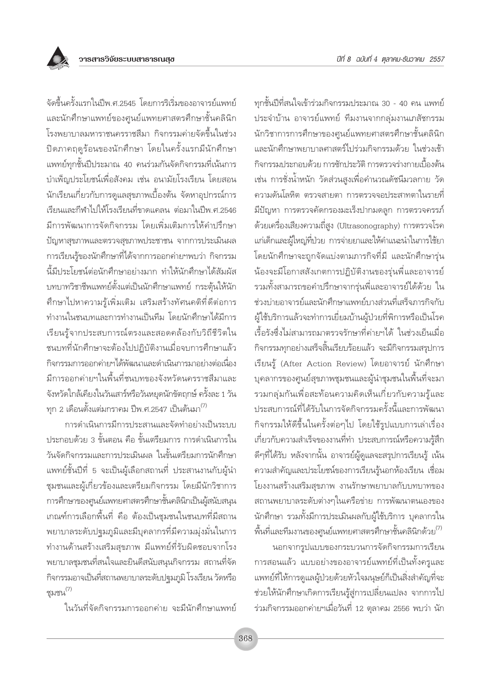

จัดขึ้นครั้งแรกในปีพ.ศ.2545 โดยการริเริ่มของอาจารย์แพทย์ และนักศึกษาแพทย์ของศูนย์แพทยศาสตรศึกษาชั้นคลินิก โรงพยาบาลมหาราชนครราชสีมา กิจกรรมค่ายจัดขึ้นในช่วง ปิดภาคฤดูร้อนของนักศึกษา โดยในครั้งแรกมีนักศึกษา แพทย์ทุกชั้นปีประมาณ 40 คนร่วมกันจัดกิจกรรมที่เน้นการ บำเพ็ญประโยชน์เพื่อสังคม เช่น อนามัยโรงเรียน โดยสอน นักเรียนเกี่ยวกับการดูแลสุขภาพเบื้องต้น จัดหาอุปกรณ์การ ้เรียนและกีฬาไปให้โรงเรียนที่ขาดแคลน ต่อมาในปีพ.ศ.2546 ้มีการพัฒนาการจัดกิจกรรม โดยเพิ่มเติมการให้คำปรึกษา ปัญหาสุขภาพและตรวจสุขภาพประชาชน จากการประเมินผล การเรียนรู้ของนักศึกษาที่ได้จากการออกค่ายฯพบว่า กิจกรรม นี้มีประโยชน์ต่อนักศึกษาอย่างมาก ทำให้นักศึกษาได้สัมผัส บทบาทวิชาชีพแพทย์ตั้งแต่เป็นนักศึกษาแพทย์ กระตุ้นให้นัก ้ศึกษาไปหาความรู้เพิ่มเติม เสริมสร้างทัศนคติที่ดีต่อการ ทำงานในชนบทและการทำงานเป็นทีม โดยนักศึกษาได้มีการ เรียนรู้จากประสบการณ์ตรงและสอดคล้องกับวิถีชีวิตใน ชนบทที่นักศึกษาจะต้องไปปฏิบัติงานเมื่อจบการศึกษาแล้ว กิจกรรมการออกค่ายฯได้พัฒนาและดำเนินการมาอย่างต่อเนื่อง ้มีการออกค่ายฯในพื้นที่ชนบทของจังหวัดนครราชสีมาและ ้จังหวัดใกล้เคียงในวันเสาร์หรือวันหยุดนักขัตถุกษ์ ครั้งละ 1 วัน ทุก 2 เดือนตั้งแต่มกราคม ปีพ.ศ.2547 เป็นต้นมา<sup>(7)</sup>

การดำเนินการมีการประสานและจัดทำอย่างเป็นระบบ ประกอบด้วย 3 ขั้นตอน คือ ขั้นเตรียมการ การดำเนินการใน วันจัดกิจกรรมและการประเมินผล ในขั้นเตรียมการนักศึกษา แพทย์ชั้นปีที่ 5 จะเป็นผู้เลือกสถานที่ ประสานงานกับผู้นำ ชุมชนและผู้เกี่ยวข้องและเตรียมกิจกรรม โดยมีนักวิชาการ การศึกษาของศูนย์แพทยศาสตรศึกษาชั้นคลินิกเป็นผู้สนับสนุน เกณฑ์การเลือกพื้นที่ คือ ต้องเป็นชุมชนในชนบทที่มีสถาน ้พยาบาลระดับปฐมภูมิและมีบุคลากรที่มีความมุ่งมั่นในการ ทำงานด้านสร้างเสริมสุขภาพ มีแพทย์ที่รับผิดชอบจากโรง ็พยาบาลชุมชนที่สนใจและยินดีสนับสนุนกิจกรรม สถานที่จัด ้กิจกรรมอาจเป็นที่สถานพยาบาลระดับปจุมภูมิ โรงเรียน วัดหรือ ชมชน $^{(7)}$ 

ในวันที่จัดกิจกรรมการออกค่าย จะมีนักศึกษาแพทย์

ทุกชั้นปีที่สนใจเข้าร่วมกิจกรรมประมาณ 30 - 40 คน แพทย์ ประจำบ้าน อาจารย์แพทย์ ที่มงานจากกลุ่มงานเภสัชกรรม นักวิชาการการศึกษาของศูนย์แพทยศาสตรศึกษาชั้นคลินิก และนักศึกษาพยาบาลศาสตร์ไปร่วมกิจกรรมด้วย ในช่วงเช้า กิจกรรมประกอบด้วย การซักประวัติ การตรวจร่างกายเบื้องต้น เช่น การชั่งน้ำหนัก วัดส่วนสูงเพื่อคำนวณดัชนีมวลกาย วัด ้ความดันโลหิต ตรวจสายตา การตรวจจอประสาทตาในรายที่ มีปัญหา การตรวจคัดกรองมะเร็งปากมดลก การตรวจครรภ์ ้ด้วยเครื่องเสียงความถี่สูง (Ultrasonography) การตรวจโรค แก่เด็กและผู้ใหญ่ที่ป่วย การจ่ายยาและให้คำแนะนำในการใช้ยา โดยนักศึกษาจะถูกจัดแบ่งตามภารกิจที่มี และนักศึกษารุ่น น้องจะมีโอกาสสังเกตการปฏิบัติงานของรุ่นพี่และอาจารย์ ้รวมทั้งสามารถขอคำปรึกษาจากรุ่นพี่และอาจารย์ได้ด้วย ใน ช่วงบ่ายอาจารย์และนักศึกษาแพทย์บางส่วนที่เสร็จภารกิจกับ ผู้ใช้บริการแล้วจะทำการเยี่ยมบ้านผู้ป่วยที่พิการหรือเป็นโรค เรื้อรังซึ่งไม่สามารถมาตรวจรักษาที่ค่ายฯได้ ในช่วงเย็นเมื่อ กิจกรรมทุกอย่างเสร็จสิ้นเรียบร้อยแล้ว จะมีกิจกรรมสรุปการ เรียนรู้ (After Action Review) โดยอาจารย์ นักศึกษา บุคลากรของศูนย์สุขภาพชุมชนและผู้นำชุมชนในพื้นที่จะมา รวมกลุ่มกันเพื่อสะท้อนความคิดเห็นเกี่ยวกับความรู้และ ประสบการณ์ที่ได้รับในการจัดกิจกรรมครั้งนี้และการพัฒนา กิจกรรมให้ดีขึ้นในครั้งต่อๆไป โดยใช้รูปแบบการเล่าเรื่อง เกี่ยวกับความสำเร็จของงานที่ทำ ประสบการณ์หรือความรู้สึก ดีๆที่ได้รับ หลังจากนั้น อาจารย์ผู้ดูแลจะสรุปการเรียนรู้ เน้น ้ความสำคัญและประโยชน์ของการเรียนรู้นอกห้องเรียน เชื่อม โยงงานสร้างเสริมสุขภาพ งานรักษาพยาบาลกับบทบาทของ สถานพยาบาลระดับต่างๆในเครือข่าย การพัฒนาตนเองของ ้นักศึกษา รวมทั้งมีการประเมินผลกับผู้ใช้บริการ บุคลากรใน ์พื้นที่และทีมงานของศูนย์แพทยศาสตรศึกษาชั้นคลินิกด้วย $^{(7)}$ 

นอกจากรูปแบบของกระบวนการจัดกิจกรรมการเรียน การสอนแล้ว แบบอย่างของอาจารย์แพทย์ที่เป็นทั้งครูและ แพทย์ที่ให้การดูแลผู้ป่วยด้วยหัวใจมนุษย์ก็เป็นสิ่งสำคัญที่จะ ช่วยให้นักศึกษาเกิดการเรียนรู้สู่การเปลี่ยนแปลง จากการไป ้ร่วมกิจกรรมออกค่ายฯเมื่อวันที่ 12 ตุลาคม 2556 พบว่า นัก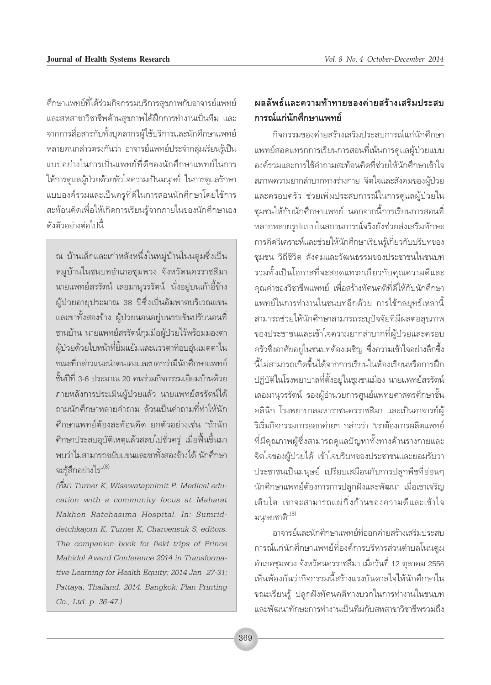คึกษาแพทย์ที่ได้ร่วมกิจกรรมบริการสุขภาพกับอาจารย์แพทย์ และสหสาขาวิชาชีพด้านสุขภาพได้ฝึกการทำงานเป็นทีม และ จากการสื่อสารกับทั้งบุคลากรผู้ใช้บริการและนักศึกษาแพทย์ หลายคนกล่าวตรงกันว่า อาจารย์แพทย์ประจำกลุ่มเรียนรู้เป็น ้แบบอย่างในการเป็นแพทย์ที่ดีของนักศึกษาแพทย์ในการ ให้การดูแลผู้ป่วยด้วยหัวใจความเป็นมนุษย์ ในการดูแลรักษา แบบองค์รวมและเป็นครูที่ดีในการสอนนักศึกษาโดยใช้การ สะท้อนคิดเพื่อให้เกิดการเรียนรู้จากภายในของนักศึกษาเอง ดังตัวอย่างต่อไปนี้

ณ บ้านเล็กและเก่าหลังหนึ่งในหมู่บ้านโนนตูมซึ่งเป็น หมู่บ้านในชนบทอำเภอชุมพวง จังหวัดนครราชสีมา นายแพทย์สรรัตน์ เลอมานุวรรัตน์ นั่งอยู่บนเก้าอี้ข้าง ผู้ป่วยอายุประมาณ 38 ปีซึ่งเป็นอัมพาตบริเวณแขน และขาทั้งสองข้าง ผู้ป่วยนอนอยู่บนรถเข็นปรับนอนที่ ชานบ้าน นายแพทย์สรรัตน์กุมมือผู้ป่วยไว้พร้อมมองตา ผู้ป่วยด้วยใบหน้าที่ยิ้มแย้มและแววตาที่อบอุ่นเมตตาใน ขณะที่กล่าวแนะนำตนเองและบอกว่ามีนักศึกษาแพทย์ ชั้นปีที่ 3-6 ประมาณ 20 คนร่วมกิจกรรมเยี่ยมบ้านด้วย ภายหลังการประเมินผู้ป่วยแล้ว นายแพทย์สรรัตน์ได้ ถามนักศึกษาหลายคำถาม ล้วนเป็นคำถามที่ทำให้นัก ้ศึกษาแพทย์ต้องสะท้อนคิด ยกตัวอย่างเช่น "ถ้านัก ้ศึกษาประสบอุบัติเหตุแล้วสลบไปชั่วครู่ เมื่อฟื้นขึ้นมา ้พบว่าไม่สามารถขยับแขนและขาทั้งสองข้างได้ นักศึกษา จะรู้สึกอย่างไร" (8)

(ที่มา Turner K, Wisawatapnimit P. Medical education with a community focus at Maharat Nakhon Ratchasima Hospital. In: Sumriddetchkajorn K, Turner K, Charoensuk S, editors. The companion book for field trips of Prince Mahidol Award Conference 2014 in Transformative Learning for Health Equity; 2014 Jan 27-31; Pattaya, Thailand. 2014. Bangkok: Plan Printing Co., Ltd. p. 36-47.)

## ผลลัพธ์และความท้าทายของค่ายสร้างเสริมประสบ การณ์แก่นักศึกษาแพทย์

กิจกรรมของค่ายสร้างเสริมประสบการณ์แก่นักศึกษา แพทย์สอดแทรกการเรียนการสอนที่เน้นการดูแลผู้ป่วยแบบ องค์รวมและการใช้คำถามสะท้อนคิดที่ช่วยให้นักศึกษาเข้าใจ สภาพความยากลำบากทางร่างกาย จิตใจและสังคมของผู้ป่วย และครอบครัว ช่วยเพิ่มประสบการณ์ในการดูแลผู้ป่วยใน ชุมชนให้กับนักศึกษาแพทย์ นอกจากนี้การเรียนการสอนที่ หลากหลายรูปแบบในสถานการณ์จริงยังช่วยส่งเสริมทักษะ การคิดวิเคราะห์และช่วยให้นักศึกษาเรียนรู้เกี่ยวกับบริบทของ ชมชน วิถีชีวิต สังคมและวัฒนธรรมของประชาชนในชนบท รวมทั้งเป็นโอกาสที่จะสอดแทรกเกี่ยวกับคุณความดีและ ้คุณค่าของวิชาชีพแพทย์ เพื่อสร้างทัศนคติที่ดีให้กับนักศึกษา แพทย์ในการทำงานในชนบทอีกด้วย การใช้กลยุทธ์เหล่านี้ สามารถช่วยให้นักศึกษาสามารถระบุปัจจัยที่มีผลต่อสุขภาพ ของประชาชนและเข้าใจความยากลำบากที่ผู้ป่วยและครอบ ้ครัวซึ่งอาศัยอยู่ในชนบทต้องเผชิญ ซึ่งความเข้าใจอย่างลึกซึ้ง นี้ไม่สามารถเกิดขึ้นได้จากการเรียนในห้องเรียนหรือการฝึก ปฏิบัติในโรงพยาบาลที่ตั้งอยู่ในชุมชนเมือง นายแพทย์สรรัตน์ เลอมานุวรรัตน์ รองผู้อำนวยการศูนย์แพทยศาสตรศึกษาชั้น คลินิก โรงพยาบาลมหาราชนครราชสีมา และเป็นอาจารย์ผู้ ริเริ่มกิจกรรมการออกค่ายฯ กล่าวว่า "เราต้องการผลิตแพทย์ ที่มีคุณภาพผู้ซึ่งสามารถดูแลปัญหาทั้งทางด้านร่างกายและ จิตใจของผู้ป่วยได้ เข้าใจบริบทของประชาชนและยอมรับว่า ประชาชนเป็นมนุษย์ เปรียบเสมือนกับการปลูกพืชที่อ่อนๆ ้นักศึกษาแพทย์ต้องการการปลูกฝังและพัฒนา เมื่อเขาเจริญ ้เติบโต เขาจะสามารถแผ่กิ่งก้านของความดีและเข้าใจ มนุษยชาติ"<sup>(8)</sup>

อาจารย์และนักศึกษาแพทย์ที่ออกค่ายสร้างเสริมประสบ การณ์แก่นักศึกษาแพทย์ที่องค์การบริหารส่วนตำบลโนนตูม ้อำเภอชุมพวง จังหวัดนครราชสีมา เมื่อวันที่ 12 ตุลาคม 2556 เห็นพ้องกันว่ากิจกรรมนี้สร้างแรงบันดาลใจให้นักศึกษาใน ขณะเรียนรู้ ปลูกฝังทัศนคติทางบวกในการทำงานในชนบท และพัฒนาทักษะการทำงานเป็นทีมกับสหสาขาวิชาชีพรวมถึง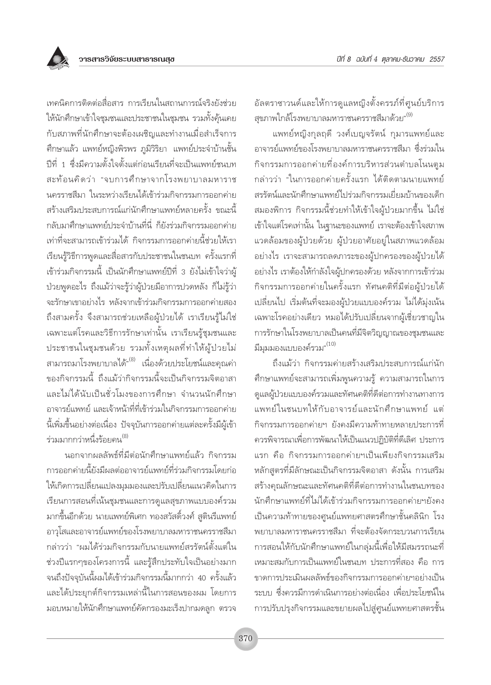อัลตราซาวนด์และให้การดูแลหญิงตั้งครรภ์ที่ศูนย์บริการ สุขภาพใกล้โรงพยาบาลมหาราชนครราชสีมาด้วย"<sup>(9)</sup>

แพทย์หญิงกุลฤดี วงศ์เบญจรัตน์ กุมารแพทย์และ อาจารย์แพทย์ของโรงพยาบาลมหาราชนครราชสีมา ซึ่งร่วมใน กิจกรรมการออกค่ายที่องค์การบริหารส่วนตำบลโนนตูม กล่าวว่า "ในการออกค่ายครั้งแรก ได้ติดตามนายแพทย์ สรรัตน์และนักศึกษาแพทย์ไปร่วมกิจกรรมเยี่ยมบ้านของเด็ก ้สมองพิการ กิจกรรมนี้ช่วยทำให้เข้าใจผู้ป่วยมากขึ้น ไม่ใช่ ้เข้าใจแต่โรคเท่านั้น ในฐานะของแพทย์ เราจะต้องเข้าใจสภาพ แวดล้อมของผู้ป่วยด้วย ผู้ป่วยอาศัยอยู่ในสภาพแวดล้อม ้อย่างไร เราจะสามารถลดภาระของผู้ปกครองของผู้ป่วยได้ ้อย่างไร เราต้องให้กำลังใจผู้ปกครองด้วย หลังจากการเข้าร่วม กิจกรรมการออกค่ายในครั้งแรก ทัศนคติที่มีต่อผู้ป่วยได้ เปลี่ยนไป เริ่มต้นที่จะมองผู้ป่วยแบบองค์รวม ไม่ได้มุ่งเน้น เฉพาะโรคอย่างเดียว หมอได้ปรับเปลี่ยนจากผู้เชี่ยวชาญใน การรักษาในโรงพยาบาลเป็นคนที่มีจิตวิญญาณของชุมชนและ มีมุมมองแบบองค์รวม" $^{(\mathrm{10})}$ 

ถึงแม้ว่า กิจกรรมค่ายสร้างเสริมประสบการณ์แก่นัก ้ศึกษาแพทย์จะสามารถเพิ่มพูนความรู้ ความสามารถในการ ดูแลผู้ป่วยแบบองค์รวมและทัศนคติที่ดีต่อการทำงานทางการ แพทย์ในชนบทให้กับอาจารย์และนักศึกษาแพทย์ แต่ กิจกรรมการออกค่ายฯ ยังคงมีความท้าทายหลายประการที่ ้ควรพิจารณาเพื่อการพัฒนาให้เป็นแนวปฏิบัติที่ดีเลิศ ประการ แรก คือ กิจกรรมการออกค่ายฯเป็นเพียงกิจกรรมเสริม หลักสูตรที่มีลักษณะเป็นกิจกรรมจิตอาสา ดังนั้น การเสริม สร้างคุณลักษณะและทัศนคติที่ดีต่อการทำงานในชนบทของ นักศึกษาแพทย์ที่ไม่ได้เข้าร่วมกิจกรรมการออกค่ายฯยังคง เป็นความท้าทายของศูนย์แพทยศาสตรศึกษาชั้นคลินิก โรง พยาบาลมหาราชนครราชสีมา ที่จะต้องจัดกระบวนการเรียน การสอนให้กับนักศึกษาแพทย์ในกลุ่มนี้เพื่อให้มีสมรรถนะที่ เหมาะสมกับการเป็นแพทย์ในชนบท ประการที่สอง คือ การ ขาดการประเมินผลลัพธ์ของกิจกรรมการออกค่ายฯอย่างเป็น ระบบ ซึ่งควรมีการดำเนินการอย่างต่อเนื่อง เพื่อประโยชน์ใน การปรับปรุงกิจกรรมและขยายผลไปสู่ศูนย์แพทยศาสตรชั้น

เทคนิคการติดต่อสื่อสาร การเรียนในสถานการณ์จริงยังช่วย ให้นักศึกษาเข้าใจชุมชนและประชาชนในชุมชน รวมทั้งคุ้นเคย กับสภาพที่นักศึกษาจะต้องเผชิญและทำงานเมื่อสำเร็จการ ้ศึกษาแล้ว แพทย์หญิงพิรพร ภูมิวิริยา แพทย์ประจำบ้านชั้น ้ปีที่ 1 ซึ่งมีความตั้งใจตั้งแต่ก่อนเรียนที่จะเป็นแพทย์ชนบท สะท้อนคิดว่า "จบการศึกษาจากโรงพยาบาลมหาราช นครราชสีมา ในระหว่างเรียนได้เข้าร่วมกิจกรรมการออกค่าย ้สร้างเสริมประสบการณ์แก่นักศึกษาแพทย์หลายครั้ง ขณะนี้ กลับมาศึกษาแพทย์ประจำบ้านที่นี่ ก็ยังร่วมกิจกรรมออกค่าย เท่าที่จะสามารถเข้าร่วมได้ กิจกรรมการออกค่ายนี้ช่วยให้เรา เรียนรู้วิธีการพูดและสื่อสารกับประชาชนในชนบท ครั้งแรกที่ เข้าร่วมกิจกรรมนี้ เป็นนักศึกษาแพทย์ปีที่ 3 ยังไม่เข้าใจว่าผู้ ป่วยพูดอะไร ถึงแม้ว่าจะรู้ว่าผู้ป่วยมือาการปวดหลัง ก็ไม่รู้ว่า จะรักษาเขาอย่างไร หลังจากเข้าร่วมกิจกรรมการออกค่ายสอง ถึงสามครั้ง จึงสามารถช่วยเหลือผู้ป่วยได้ เราเรียนรู้ไม่ใช่ เฉพาะแต่โรคและวิธีการรักษาเท่านั้น เราเรียนรู้ชุมชนและ ประชาชนในชุมชนด้วย รวมทั้งเหตุผลที่ทำให้ผู้ป่วยไม่ สามารถมาโรงพยาบาลได้"<sup>(8)</sup> เนื่องด้วยประโยชน์และคุณค่า ของกิจกรรมนี้ ถึงแม้ว่ากิจกรรมนี้จะเป็นกิจกรรมจิตอาสา และไม่ได้นับเป็นชั่วโมงของการศึกษา จำนวนนักศึกษา อาจารย์แพทย์ และเจ้าหน้าที่ที่เข้าร่วมในกิจกรรมการออกค่าย ้นี้เพิ่มขึ้นอย่างต่อเนื่อง ปัจจุบันการออกค่ายแต่ละครั้งมีผู้เข้า ร่วมมากกว่าหนึ่งร้อยคน<sup>(8)</sup>

นอกจากผลลัพธ์ที่มีต่อนักศึกษาแพทย์แล้ว กิจกรรม การออกค่ายนี้ยังมีผลต่ออาจารย์แพทย์ที่ร่วมกิจกรรมโดยก่อ ให้เกิดการเปลี่ยนแปลงมุมมองและปรับเปลี่ยนแนวคิดในการ เรียนการสอนที่เน้นชุมชนและการดูแลสุขภาพแบบองค์รวม มากขึ้นอีกด้วย นายแพทย์พิเศก ทองสวัสดิ์วงศ์ สูตินรีแพทย์ อาวุโสและอาจารย์แพทย์ของโรงพยาบาลมหาราชนครราชสีมา ้กล่าวว่า "ผมได้ร่วมกิจกรรมกับนายแพทย์สรรัตน์ตั้งแต่ใน ช่วงปีแรกๆของโครงการนี้ และรู้สึกประทับใจเป็นอย่างมาก จนถึงปัจจุบันนี้ผมได้เข้าร่วมกิจกรรมนี้มากกว่า 40 ครั้งแล้ว และได้ประยุกต์กิจกรรมเหล่านี้ในการสอนของผม โดยการ มอบหมายให้นักศึกษาแพทย์คัดกรองมะเร็งปากมดลูก ตรวจ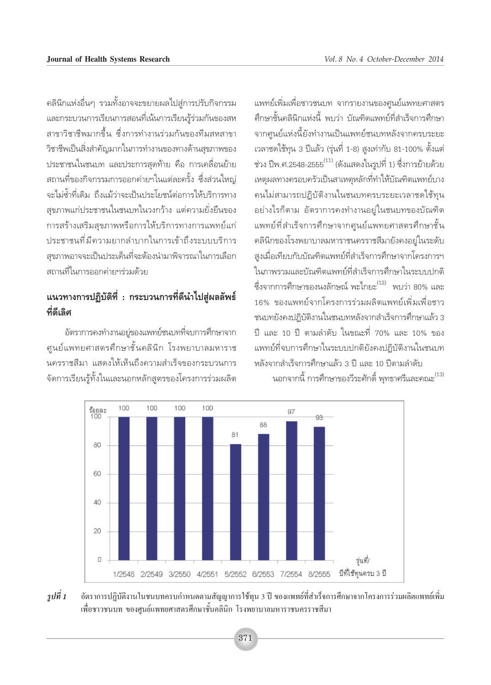้คลินิกแห่งอื่นๆ รวมทั้งอาจจะขยายผลไปสู่การปรับกิจกรรม และกระบวนการเรียนการสอนที่เน้นการเรียนรู้ร่วมกันของสห สาขาวิชาชีพมากขึ้น ซึ่งการทำงานร่วมกันของทีมสหสาขา วิชาชีพเป็นสิ่งสำคัญมากในการทำงานของทางด้านสุขภาพของ ประชาชนในชนบท และประการสุดท้าย คือ การเคลื่อนย้าย ิสถานที่ของกิจกรรมการออกค่ายฯในแต่ละครั้ง ซึ่งส่วนใหญ่ จะไม่ซ้ำที่เดิม ถึงแม้ว่าจะเป็นประโยชน์ต่อการให้บริการทาง ้สุขภาพแก่ประชาชนในชนบทในวงกว้าง แต่ความยั่งยืนของ การสร้างเสริมสุขภาพหรือการให้บริการทางการแพทย์แก่ ประชาชนที่มีความยากลำบากในการเข้าถึงระบบบริการ สุขภาพอาจจะเป็นประเด็นที่จะต้องนำมาพิจารณาในการเลือก ิสถานที่ในการออกค่ายฯร่วมด้วย

# แนวทางการปฏิบัติที่ : กระบวนการที่ดีนำไปสู่ผลลัพธ์ ที่ดีเลิศ

อัตราการคงทำงานอยู่ของแพทย์ชนบทที่จบการศึกษาจาก ศูนย์แพทยศาสตรศึกษาชั้นคลินิก โรงพยาบาลมหาราช นครราชสีมา แสดงให้เห็นถึงความสำเร็จของกระบวนการ จัดการเรียนรู้ทั้งในและนอกหลักสูตรของโครงการร่วมผลิต ้แพทย์เพิ่มเพื่อชาวชนบท จากรายงานของศูนย์แพทยศาสตร ้ศึกษาชั้นคลินิกแห่งนี้ พบว่า บัณฑิตแพทย์ที่สำเร็จการศึกษา จากศูนย์แห่งนี้ยังทำงานเป็นแพทย์ชนบทหลังจากครบระยะ เวลาชดใช้ทุน 3 ปีแล้ว (รุ่นที่ 1-8) สูงเท่ากับ 81-100% ตั้งแต่ ช่วง ปีพ.ศ.2548-2555 $^{(11)}$  (ดังแสดงในรูปที่ 1) ซึ่งการย้ายด้วย เหตุผลทางครอบครัวเป็นสาเหตุหลักที่ทำให้บัณฑิตแพทย์บาง ิดนไม่สามารถปฏิบัติงานในชนบทครบระยะเวลาชดใช้ทุน ้อย่างไรก็ตาม อัตราการคงทำงานอยู่ในชนบทของบัณฑิต แพทย์ที่สำเร็จการศึกษาจากศูนย์แพทยศาสตรศึกษาชั้น คลินิกของโรงพยาบาลมหาราชนครราชสีมายังคงอยู่ในระดับ สูงเมื่อเทียบกับบัณฑิตแพทย์ที่สำเร็จการศึกษาจากโครงการฯ ในภาพรวมและบัณฑิตแพทย์ที่สำเร็จการศึกษาในระบบปกติ ์ซึ่งจากการศึกษาของนงลักษณ์ พะไกยะ<sup>(12)</sup> พบว่า 80% และ 16% ของแพทย์จากโครงการร่วมผลิตแพทย์เพิ่มเพื่อชาว ชนบทยังคงปฏิบัติงานในชนบทหลังจากสำเร็จการศึกษาแล้ว 3 ปี และ 10 ปี ตามลำดับ ในขณะที่ 70% และ 10% ของ แพทย์ที่จบการศึกษาในระบบปกติยังคงปฏิบัติงานในชนบท หลังจากสำเร็จการศึกษาแล้ว 3 ปี และ 10 ปีตามลำดับ



นอกจากนี้ การศึกษาของวีระศักดิ์ พุทธาศรีและคณะ<sup>(13)</sup>

รูปที่ 1 ้อัตราการปฏิบัติงานในชนบทครบกำหนดตามสัญญาการใช้ทุน 3 ปี ของแพทย์ที่สำเร็จการศึกษาจากโครงการร่วมผลิตแพทย์เพิ่ม ้เพื่อชาวชนบท ของศนย์แพทยศาสตรศึกษาชั้นคลินิก โรงพยาบาลมหาราชนครราชสีมา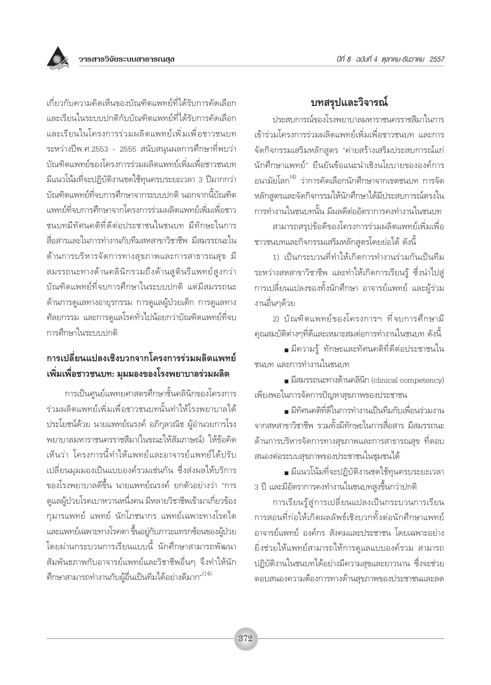

# บทสรุปและวิจารณ์

ประสบการณ์ของโรงพยาบาลมหาราชนครราชสีมาในการ เข้าร่วมโครงการร่วมผลิตแพทย์เพิ่มเพื่อชาวชนบท และการ จัดกิจกรรมเสริมหลักสูตร "ค่ายสร้างเสริมประสบการณ์แก่ ้นักศึกษาแพทย์" ยืนยันข้อแนะนำเชิงนโยบายขององค์การ ้อนามัยโลก<sup>(4)</sup> ว่าการคัดเลือกนักศึกษาจากเขตชนบท การจัด หลักสูตรและจัดกิจกรรมให้นักศึกษาได้มีประสบการณ์ตรงใน การทำงานในชนบทนั้น มีผลดีต่ออัตราการคงทำงานในชนบท สามารถสรุปข้อดีของโครงการร่วมผลิตแพทย์เพิ่มเพื่อ

ชาวชนบทและกิจกรรมเสริมหลักสูตรโดยย่อได้ ดังนี้

1) เป็นกระบวนที่ทำให้เกิดการทำงานร่วมกันเป็นทีม ระหว่างสหสาขาวิชาชีพ และทำให้เกิดการเรียนรู้ ซึ่งนำไปสู่ การเปลี่ยนแปลงของทั้งนักศึกษา อาจารย์แพทย์ และผู้ร่วม งานอื่นๆด้วย

2) บัณฑิตแพทย์ของโครงการฯ ที่จบการศึกษามี ิ คุณสมบัติต่างๆที่ดีและเหมาะสมต่อการทำงานในชนบท ดังนี้

■ มีความรู้ ทักษะและทัศนคติที่ดีต่อประชาชนใน ชนบท และการทำงานในชนบท

■ มีสมรรถนะทางด้านคลินิก (clinical competency) เพียงพอในการจัดการปัญหาสุขภาพของประชาชน

• มีทัศนคติที่ดีในการทำงานเป็นทีมกับเพื่อนร่วมงาน จากสหสาขาวิชาชีพ รวมทั้งมีทักษะในการสื่อสาร มีสมรรถนะ ้ด้านการบริหารจัดการทางสุขภาพและการสาธารณสุข ที่ตอบ สนองต่อระบบสุขภาพของประชาชนในชุมชนได้

• มีแนวโน้มที่จะปฏิบัติงานชดใช้ทุนครบระยะเวลา 3 ปี และมีอัตราการคงทำงานในชนบทสูงขึ้นกว่าปกติ

การเรียนรู้สู่การเปลี่ยนแปลงเป็นกระบวนการเรียน การสอนที่ก่อให้เกิดผลลัพธ์เชิงบวกทั้งต่อนักศึกษาแพทย์ อาจารย์แพทย์ องค์กร สังคมและประชาชน โดยเฉพาะอย่าง ยิ่งช่วยให้แพทย์สามารถให้การดูแลแบบองค์รวม สามารถ ปฏิบัติงานในชนบทได้อย่างมีความสุขและยาวนาน ซึ่งจะช่วย ตอบสนองความต้องการทางด้านสุขภาพของประชาชนและลด

เกี่ยวกับความคิดเห็นของบัณฑิตแพทย์ที่ได้รับการคัดเลือก และเรียนในระบบปกติกับบัณฑิตแพทย์ที่ได้รับการคัดเลือก และเรียนในโครงการร่วมผลิตแพทย์เพิ่มเพื่อชาวชนบท ระหว่างปีพ.ศ.2553 - 2555 สนับสนุนผลการศึกษาที่พบว่า บัณฑิตแพทย์ของโครงการร่วมผลิตแพทย์เพิ่มเพื่อชาวชนบท ้มีแนวโน้มที่จะปฏิบัติงานชดใช้ทุนครบระยะเวลา 3 ปีมากกว่า ้บัณฑิตแพทย์ที่จบการศึกษาจากระบบปกติ นอกจากนี้บัณฑิต แพทย์ที่จบการศึกษาจากโครงการร่วมผลิตแพทย์เพิ่มเพื่อชาว ชนบทมีทัศนคติที่ดีต่อประชาชนในชนบท มีทักษะในการ สื่อสารและในการทำงานกับทีมสหสาขาวิชาชีพ มีสมรรถนะใน ด้านการบริหารจัดการทางสุขภาพและการสาธารณสุข มี สมรรถนะทางด้านคลินิกรวมถึงด้านสูตินรีแพทย์สูงกว่า บัณฑิตแพทย์ที่จบการศึกษาในระบบปกติ แต่มีสมรรถนะ ด้านการดูแลทางอายุรกรรม การดูแลผู้ป่วยเด็ก การดูแลทาง ์ศัลยกรรม และการดูแลโรคทั่วไปน้อยกว่าบัณฑิตแพทย์ที่จบ การศึกษาในระบบปกติ

# การเปลี่ยนแปลงเชิงบวกจากโครงการร่วมผลิตแพทย์ ้เพิ่มเพื่อชาวชนบท: มุมมองของโรงพยาบาลร่วมผลิต

การเป็นศูนย์แพทยศาสตรศึกษาชั้นคลินิกของโครงการ ร่วมผลิตแพทย์เพิ่มเพื่อชาวชนบทนั้นทำให้โรงพยาบาลได้ ประโยชน์ด้วย นายแพทย์ณรงค์ อภิกุลวณิช ผู้อำนวยการโรง พยาบาลมหาราชนครราชสีมา(ในขณะให้สัมภาษณ์) ให้ข้อคิด เห็นว่า โครงการนี้ทำให้แพทย์และอาจารย์แพทย์ได้ปรับ เปลี่ยนมุมมองเป็นแบบองค์รวมเช่นกัน ซึ่งส่งผลให้บริการ ของโรงพยาบาลดีขึ้น นายแพทย์ณรงค์ ยกตัวอย่างว่า "การ ดูแลผู้ป่วยโรคเบาหวานหนึ่งคน มีหลายวิชาชีพเข้ามาเกี่ยวข้อง ้กุมารแพทย์ แพทย์ นักโภชนากร แพทย์เฉพาะทางโรคไต และแพทย์เฉพาะทางโรคตา ขึ้นอยู่กับภาวะแทรกช้อนของผู้ป่วย โดยผ่านกระบวนการเรียนแบบนี้ นักศึกษาสามารถพัฒนา ้สัมพันธภาพกับอาจารย์แพทย์และวิชาชีพอื่นๆ จึงทำให้นัก ้ศึกษาสามารถทำงานกับผู้อื่นเป็นทีมได้อย่างดีมาก"<sup>(14)</sup>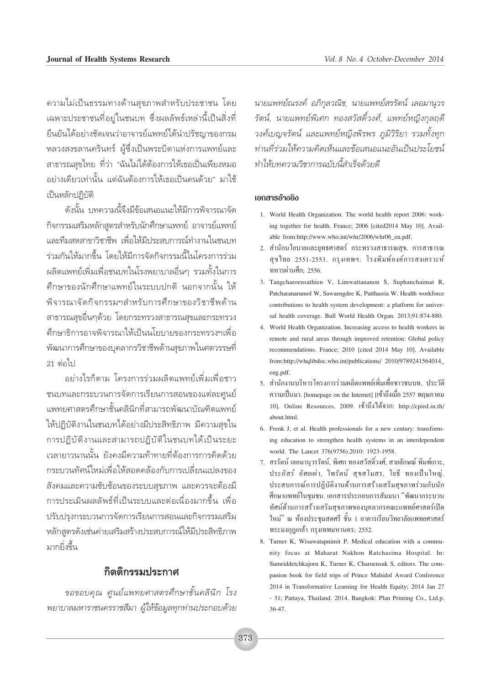้ความไม่เป็นธรรมทางด้านสุขภาพสำหรับประชาชน โดย เฉพาะประชาชนที่อยู่ในชนบท ซึ่งผลลัพธ์เหล่านี้เป็นสิ่งที่ ยืนยันได้อย่างชัดเจนว่าอาจารย์แพทย์ได้นำปรัชญาของกรม หลวงสงขลานครินทร์ ผู้ซึ่งเป็นพระบิดาแห่งการแพทย์และ สาธารณสุขไทย ที่ว่า "ฉันไม่ได้ต้องการให้เธอเป็นเพียงหมอ ้อย่างเดียวเท่านั้น แต่ฉันต้องการให้เธอเป็นคนด้วย" มาใช้ เป็นหลักปภิบัติ

ดังนั้น บทความนี้จึงมีข้อเสนอแนะให้มีการพิจารณาจัด ้กิจกรรมเสริมหลักสตรสำหรับนักศึกษาแพทย์ อาจารย์แพทย์ และทีมสหสาขาวิชาชีพ เพื่อให้มีประสบการณ์ทำงานในชนบท ร่วมกันให้มากขึ้น โดยให้มีการจัดกิจกรรมนี้ในโครงการร่วม ผลิตแพทย์เพิ่มเพื่อชนบทในโรงพยาบาลอื่นๆ รวมทั้งในการ ้ศึกษาของนักศึกษาแพทย์ในระบบปกติ นอกจากนั้น ให้ พิจารณาจัดกิจกรรมฯสำหรับการศึกษาของวิชาชีพด้าน สาธารณสุขอื่นๆด้วย โดยกระทรวงสาธารณสุขและกระทรวง ้ศึกษาธิการอาจพิจารณาให้เป็นนโยบายของกระทรวงฯเพื่อ ้ พัฒนาการศึกษาของบุคลากรวิชาชีพด้านสุขภาพในศตวรรษที่  $21$  ต่อไป

้อย่างไรก็ตาม โครงการร่วมผลิตแพทย์เพิ่มเพื่อชาว ชนบทและกระบวนการจัดการเรียนการสอนของแต่ละศูนย์ แพทยศาสตรศึกษาชั้นคลินิกที่สามารถพัฒนาบัณฑิตแพทย์ ให้ปฏิบัติงานในชนบทได้อย่างมีประสิทธิภาพ มีความสุขใน การปฏิบัติงานและสามารถปฏิบัติในชนบทได้เป็นระยะ เวลายาวนานนั้น ยังคงมีความท้าทายที่ต้องการการคิดด้วย กระบวนทัศน์ใหม่เพื่อให้สอดคล้องกับการเปลี่ยนแปลงของ ้สังคมและความซับซ้อนของระบบสขภาพ และควรจะต้องมื การประเมินผลลัพธ์ที่เป็นระบบและต่อเนื่องมากขึ้น เพื่อ ปรับปรุงกระบวนการจัดการเรียนการสอนและกิจกรรมเสริม หลักสูตรดังเช่นค่ายเสริมสร้างประสบการณ์ให้มีประสิทธิภาพ มากยิ่งขึ้น

### กิตติกรรมประกาศ

ขอขอบคุณ ศูนย์แพทยศาสตรศึกษาชั้นคลินิก โรง พยาบาลมหาราชนครราชสีมา ผู้ให้ข้อมูลทุกท่านประกอบด้วย

นายแพทย์ณรงค์ อภิกุลวณิช, นายแพทย์สรรัตน์ เลอมานุวร รัตน์, นายแพทย์พิเศก ทองสวัสดิ์วงศ์, แพทย์หญิงกุลถุดี วงศ์เบญจรัตน์ และแพทย์หญิงพิรพร ภมิวิริยา รวมทั้งทก ท่านที่ร่วมให้ความคิดเห็นและข้อเสนอแนะอันเป็นประโยชน์ ทำให้บทความวิชาการฉบับนี้สำเร็จด้วยดี

#### เอกสารอ้างอิง

- 1. World Health Organization. The world health report 2006: working together for health. France; 2006 [cited2014 May 10]. Available from:http://www.who.int/whr/2006/whr06\_en.pdf.
- 2. สำนักนโยบายและยุทธศาสตร์ กระทรวงสาธารณสุข. การสาธารณ สุขใทย 2551-2553. กรุงเทพฯ: โรงพิมพ์องค์การสงเคราะห์ ทหารผ่านศึก; 2556.
- 3. Tangcharoensathien V, Limwattananon S, Suphanchaimat R, Patcharanarumol W, Sawaengdee K, Putthasria W. Health workforce contributions to health system development: a platform for universal health coverage. Bull World Health Organ. 2013;91:874-880.
- 4. World Health Organization. Increasing access to health workers in remote and rural areas through improved retention: Global policy recommendations. France; 2010 [cited 2014 May 10]. Available from:http://whqlibdoc.who.int/publications/ 2010/9789241564014 eng.pdf.
- 5. สำนักงานบริหารโครงการร่วมผลิตแพทย์เพิ่มเพื่อชาวชนบท. ประวัติ ความเป็นมา. [homepage on the Internet] [เข้าถึงเมื่อ 2557 พฤษภาคม 10]. Online Resources, 2009. เข้าถึงได้จาก: http://cpird.in.th/ about html.
- 6. Frenk J, et al. Health professionals for a new century: transforming education to strengthen health systems in an interdependent world. The Lancet 376(9756).2010: 1923-1958.
- 7. สรรัตน์ เลอมานุวรรัตน์, พิเศก ทองสวัสดิ์วงศ์, สายลักษณ์ พิมพ์เกาะ, ประภัสร์ อัศยเผ่า, ใพรัตน์ สุขสโมสร, โยธี ทองเป็นใหญ่. ประสบการณ์การปฏิบัติงานด้านการสร้างเสริมสุขภาพร่วมกับนัก ์สึกษาแพทย์ในชมชน. เอกสารประกอบการสัมมนา "พัฒนากระบวน ทัศน์ด้านการสร้างเสริมสุขภาพของบุคลากรคณะแพทย์ศาสตร์เปิด ใหม่" ณ ห้องประชุมสดศรี ชั้น 1 อาคารเรียนวิทยาลัยแพทยศาสตร์ พระมงกุฎเกล้า กรุงเทพมหานคร; 2552.
- 8. Turner K, Wisawatapnimit P. Medical education with a community focus at Maharat Nakhon Ratchasima Hospital. In: Sumriddetchkajorn K, Turner K, Charoensuk S, editors. The companion book for field trips of Prince Mahidol Award Conference 2014 in Transformative Learning for Health Equity; 2014 Jan 27 - 31; Pattaya, Thailand. 2014. Bangkok: Plan Printing Co., Ltd.p.  $36 - 47$ .